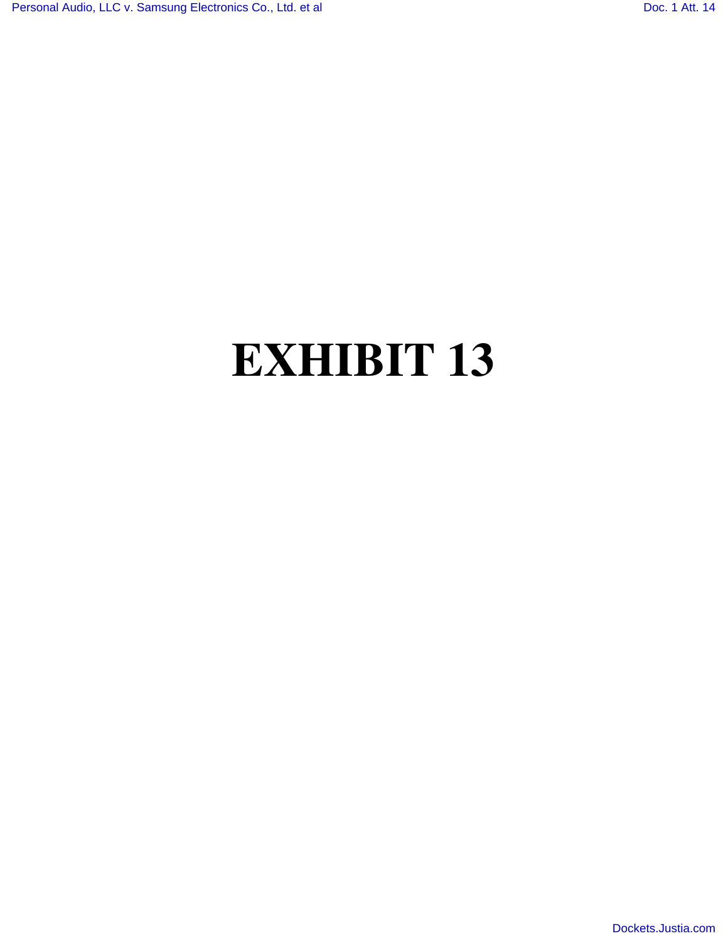# **EXHIBIT 13**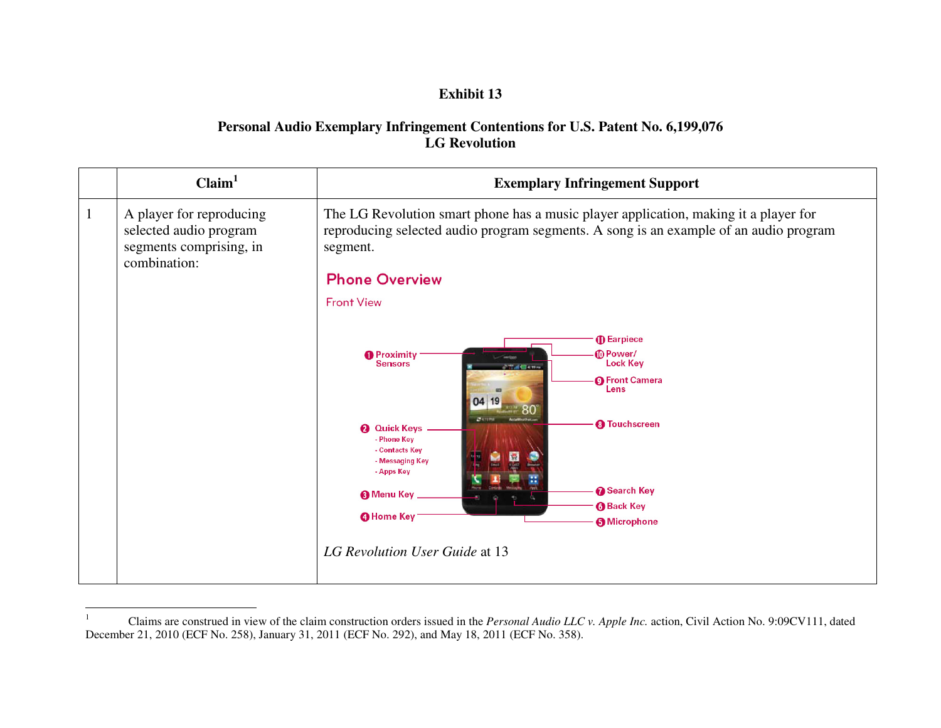## **Exhibit 13**

### **Personal Audio Exemplary Infringement Contentions for U.S. Patent No. 6,199,076 LG Revolution**

|              | Claim <sup>1</sup>                                                                            | <b>Exemplary Infringement Support</b>                                                                                                                                                                                                                                                                                                                                                                                                                                                                                                                                            |
|--------------|-----------------------------------------------------------------------------------------------|----------------------------------------------------------------------------------------------------------------------------------------------------------------------------------------------------------------------------------------------------------------------------------------------------------------------------------------------------------------------------------------------------------------------------------------------------------------------------------------------------------------------------------------------------------------------------------|
| $\mathbf{1}$ | A player for reproducing<br>selected audio program<br>segments comprising, in<br>combination: | The LG Revolution smart phone has a music player application, making it a player for<br>reproducing selected audio program segments. A song is an example of an audio program<br>segment.<br><b>Phone Overview</b><br><b>Front View</b><br><b>ID</b> Earpiece<br><b>MD</b> Power/<br><b>O</b> Proximity<br><b>Lock Key</b><br><b>Sensors</b><br><b><i>Charles</i></b><br><b>O</b> Front Camera<br>Lens<br><b>8</b> Touchscreen<br><b>Quick Keys</b><br>௳<br>- Phone Key<br>- Contacts Key<br>- Messaging Key<br>- Apps Key<br>Search Key<br><b>Menu Key</b><br><b>6</b> Back Key |
|              |                                                                                               | <b>O</b> Home Key<br><b>6</b> Microphone<br>LG Revolution User Guide at 13                                                                                                                                                                                                                                                                                                                                                                                                                                                                                                       |
|              |                                                                                               |                                                                                                                                                                                                                                                                                                                                                                                                                                                                                                                                                                                  |

<sup>&</sup>lt;sup>1</sup> Claims are construed in view of the claim construction orders issued in the *Personal Audio LLC v. Apple Inc.* action, Civil Action No. 9:09CV111, dated December 21, 2010 (ECF No. 258), January 31, 2011 (ECF No. 292), and May 18, 2011 (ECF No. 358).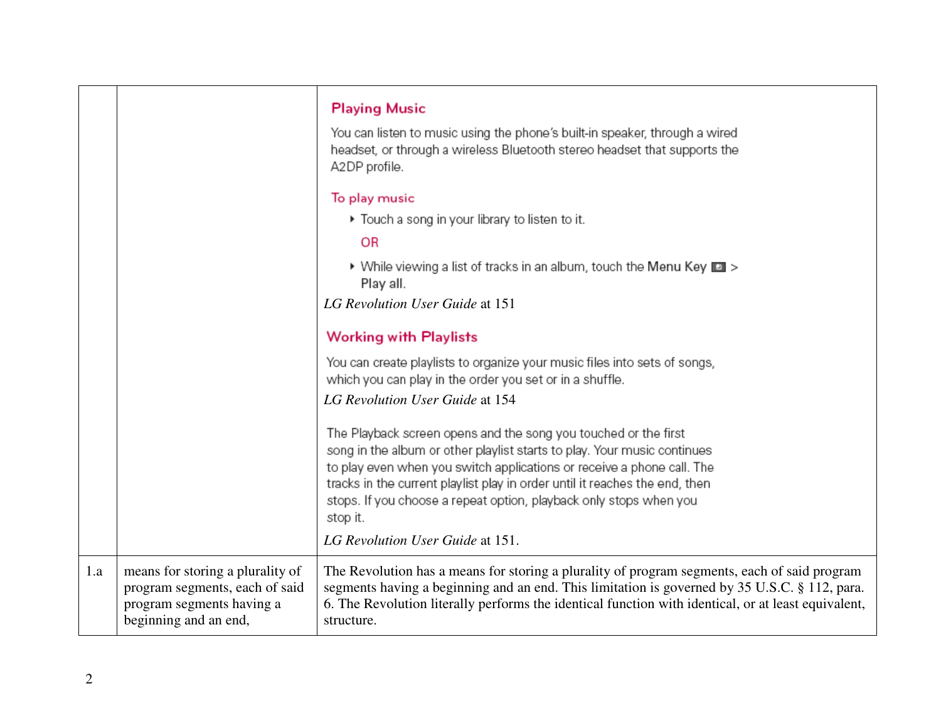|     |                                                                                                                          | <b>Playing Music</b><br>You can listen to music using the phone's built-in speaker, through a wired<br>headset, or through a wireless Bluetooth stereo headset that supports the<br>A2DP profile.                                                                                                                                                                                                                          |
|-----|--------------------------------------------------------------------------------------------------------------------------|----------------------------------------------------------------------------------------------------------------------------------------------------------------------------------------------------------------------------------------------------------------------------------------------------------------------------------------------------------------------------------------------------------------------------|
|     |                                                                                                                          | To play music                                                                                                                                                                                                                                                                                                                                                                                                              |
|     |                                                                                                                          | ▶ Touch a song in your library to listen to it.<br><b>OR</b>                                                                                                                                                                                                                                                                                                                                                               |
|     |                                                                                                                          | $\blacktriangleright$ While viewing a list of tracks in an album, touch the Menu Key $\square$ ><br>Play all.                                                                                                                                                                                                                                                                                                              |
|     |                                                                                                                          | LG Revolution User Guide at 151                                                                                                                                                                                                                                                                                                                                                                                            |
|     |                                                                                                                          | <b>Working with Playlists</b>                                                                                                                                                                                                                                                                                                                                                                                              |
|     |                                                                                                                          | You can create playlists to organize your music files into sets of songs,<br>which you can play in the order you set or in a shuffle.                                                                                                                                                                                                                                                                                      |
|     |                                                                                                                          | LG Revolution User Guide at 154                                                                                                                                                                                                                                                                                                                                                                                            |
|     |                                                                                                                          | The Playback screen opens and the song you touched or the first<br>song in the album or other playlist starts to play. Your music continues<br>to play even when you switch applications or receive a phone call. The<br>tracks in the current playlist play in order until it reaches the end, then<br>stops. If you choose a repeat option, playback only stops when you<br>stop it.<br>LG Revolution User Guide at 151. |
| 1.a | means for storing a plurality of<br>program segments, each of said<br>program segments having a<br>beginning and an end, | The Revolution has a means for storing a plurality of program segments, each of said program<br>segments having a beginning and an end. This limitation is governed by 35 U.S.C. § 112, para.<br>6. The Revolution literally performs the identical function with identical, or at least equivalent,<br>structure.                                                                                                         |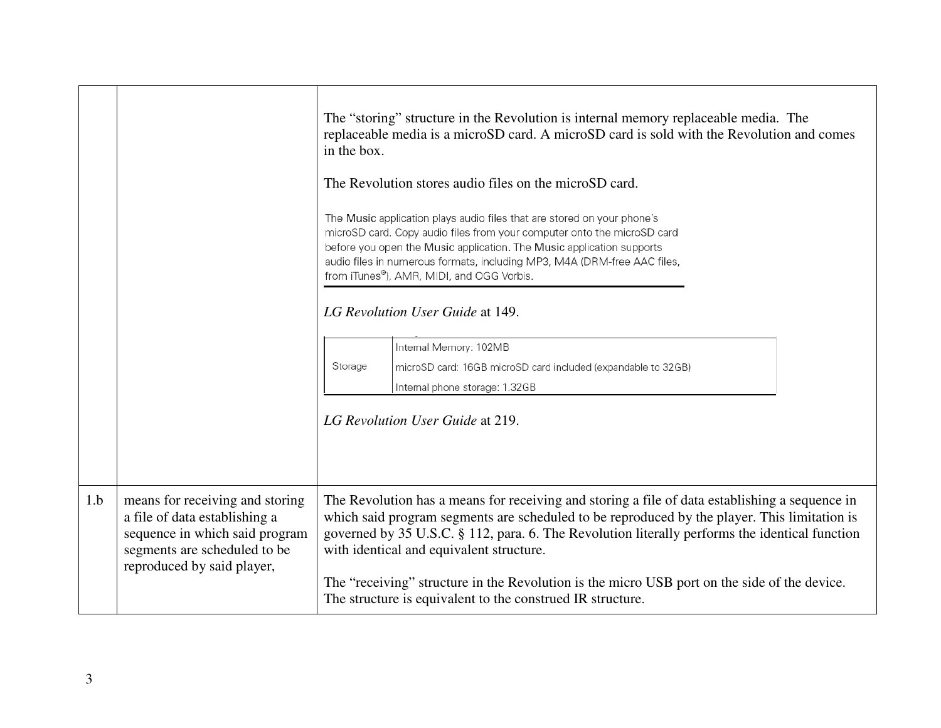|     |                                                                                                                                                                  | The "storing" structure in the Revolution is internal memory replaceable media. The<br>replaceable media is a microSD card. A microSD card is sold with the Revolution and comes<br>in the box.<br>The Revolution stores audio files on the microSD card.<br>The Music application plays audio files that are stored on your phone's<br>microSD card. Copy audio files from your computer onto the microSD card<br>before you open the Music application. The Music application supports<br>audio files in numerous formats, including MP3, M4A (DRM-free AAC files,<br>from iTunes®), AMR, MIDI, and OGG Vorbis.<br>LG Revolution User Guide at 149.<br>Internal Memory: 102MB<br>Storage<br>microSD card: 16GB microSD card included (expandable to 32GB)<br>Internal phone storage: 1.32GB<br>LG Revolution User Guide at 219. |  |
|-----|------------------------------------------------------------------------------------------------------------------------------------------------------------------|-----------------------------------------------------------------------------------------------------------------------------------------------------------------------------------------------------------------------------------------------------------------------------------------------------------------------------------------------------------------------------------------------------------------------------------------------------------------------------------------------------------------------------------------------------------------------------------------------------------------------------------------------------------------------------------------------------------------------------------------------------------------------------------------------------------------------------------|--|
| 1.b | means for receiving and storing<br>a file of data establishing a<br>sequence in which said program<br>segments are scheduled to be<br>reproduced by said player, | The Revolution has a means for receiving and storing a file of data establishing a sequence in<br>which said program segments are scheduled to be reproduced by the player. This limitation is<br>governed by 35 U.S.C. § 112, para. 6. The Revolution literally performs the identical function<br>with identical and equivalent structure.<br>The "receiving" structure in the Revolution is the micro USB port on the side of the device.<br>The structure is equivalent to the construed IR structure.                                                                                                                                                                                                                                                                                                                        |  |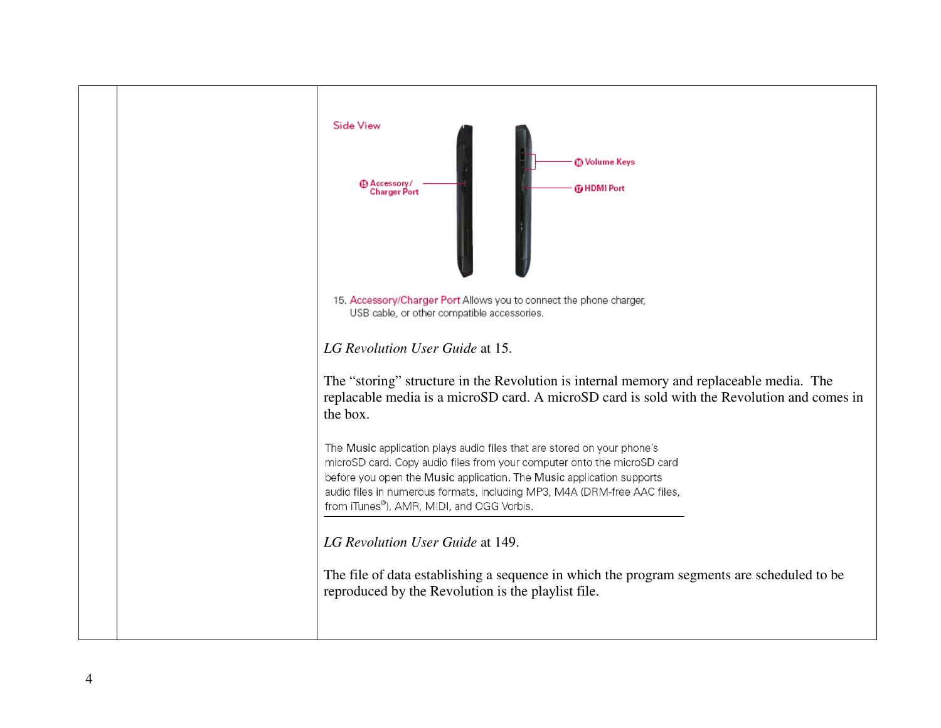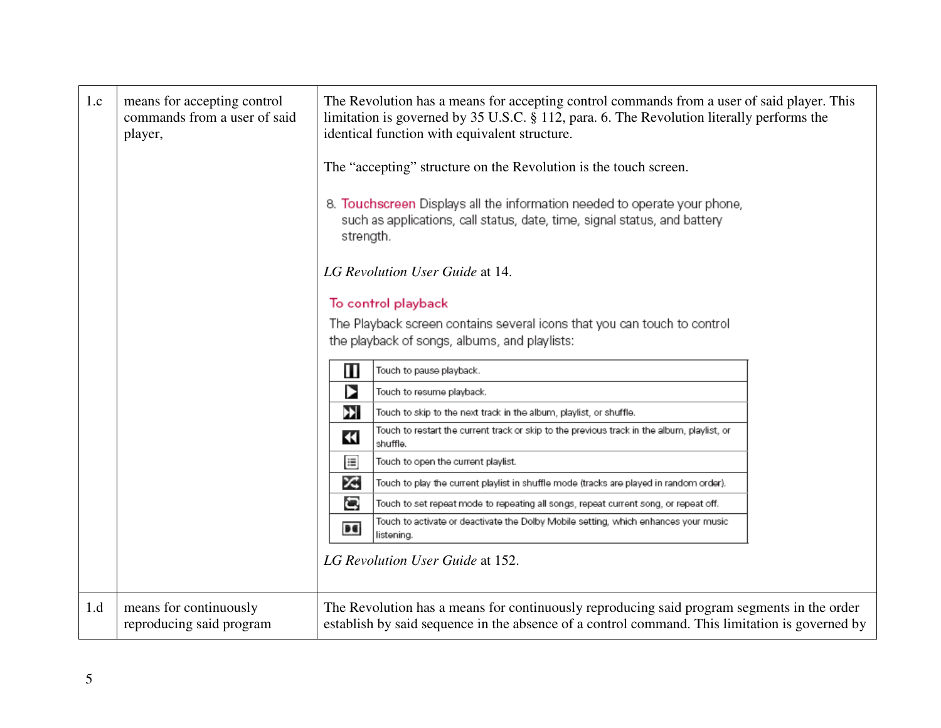| 1.c | means for accepting control<br>commands from a user of said<br>player, | The Revolution has a means for accepting control commands from a user of said player. This<br>limitation is governed by 35 U.S.C. § 112, para. 6. The Revolution literally performs the<br>identical function with equivalent structure.<br>The "accepting" structure on the Revolution is the touch screen.<br>8. Touchscreen Displays all the information needed to operate your phone,<br>such as applications, call status, date, time, signal status, and battery<br>strength.<br>LG Revolution User Guide at 14.<br>To control playback<br>The Playback screen contains several icons that you can touch to control<br>the playback of songs, albums, and playlists:<br>ш<br>Touch to pause playback.<br>▶<br>Touch to resume playback.<br>Đ<br>Touch to skip to the next track in the album, playlist, or shuffle.<br>Touch to restart the current track or skip to the previous track in the album, playlist, or<br>$\blacktriangleleft$<br>shuffle.<br>匡<br>Touch to open the current playlist.<br>∞<br>Touch to play the current playlist in shuffle mode (tracks are played in random order).<br>G<br>Touch to set repeat mode to repeating all songs, repeat current song, or repeat off.<br>Touch to activate or deactivate the Dolby Mobile setting, which enhances your music<br>B <sub>4</sub><br>listening.<br>LG Revolution User Guide at 152. |
|-----|------------------------------------------------------------------------|------------------------------------------------------------------------------------------------------------------------------------------------------------------------------------------------------------------------------------------------------------------------------------------------------------------------------------------------------------------------------------------------------------------------------------------------------------------------------------------------------------------------------------------------------------------------------------------------------------------------------------------------------------------------------------------------------------------------------------------------------------------------------------------------------------------------------------------------------------------------------------------------------------------------------------------------------------------------------------------------------------------------------------------------------------------------------------------------------------------------------------------------------------------------------------------------------------------------------------------------------------------------------------------------------------------------------------------------------------------|
| 1.d | means for continuously                                                 | The Revolution has a means for continuously reproducing said program segments in the order                                                                                                                                                                                                                                                                                                                                                                                                                                                                                                                                                                                                                                                                                                                                                                                                                                                                                                                                                                                                                                                                                                                                                                                                                                                                       |
|     | reproducing said program                                               | establish by said sequence in the absence of a control command. This limitation is governed by                                                                                                                                                                                                                                                                                                                                                                                                                                                                                                                                                                                                                                                                                                                                                                                                                                                                                                                                                                                                                                                                                                                                                                                                                                                                   |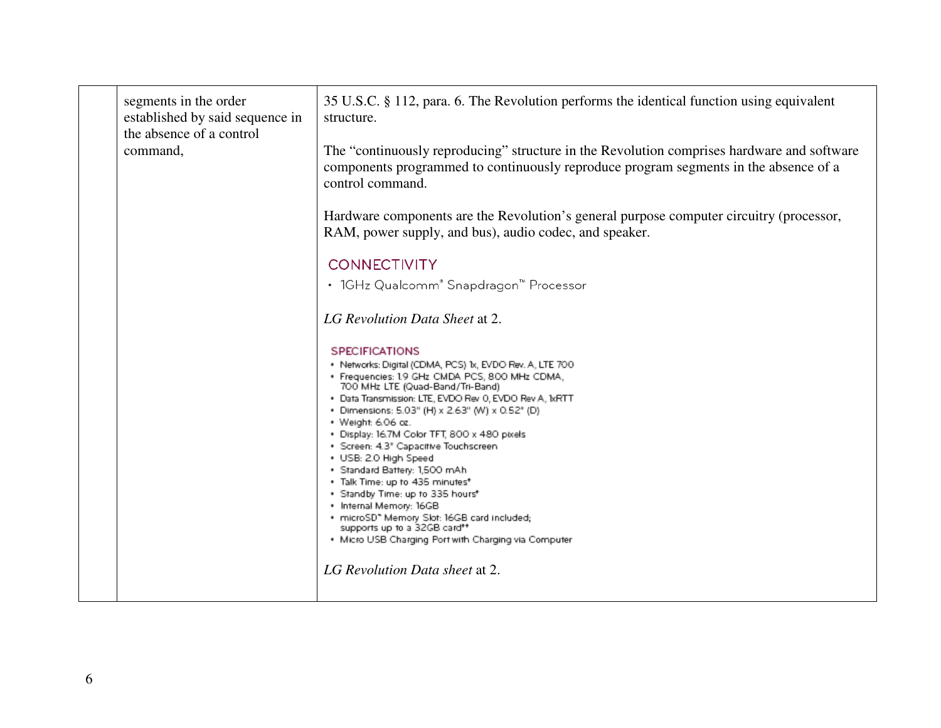| segments in the order<br>established by said sequence in<br>the absence of a control | 35 U.S.C. § 112, para. 6. The Revolution performs the identical function using equivalent<br>structure.                                                                                                                                                                                                                                                                                                                                                                                                                                                                                                                                                                                                             |
|--------------------------------------------------------------------------------------|---------------------------------------------------------------------------------------------------------------------------------------------------------------------------------------------------------------------------------------------------------------------------------------------------------------------------------------------------------------------------------------------------------------------------------------------------------------------------------------------------------------------------------------------------------------------------------------------------------------------------------------------------------------------------------------------------------------------|
| command,                                                                             | The "continuously reproducing" structure in the Revolution comprises hardware and software<br>components programmed to continuously reproduce program segments in the absence of a<br>control command.                                                                                                                                                                                                                                                                                                                                                                                                                                                                                                              |
|                                                                                      | Hardware components are the Revolution's general purpose computer circuitry (processor,<br>RAM, power supply, and bus), audio codec, and speaker.                                                                                                                                                                                                                                                                                                                                                                                                                                                                                                                                                                   |
|                                                                                      | <b>CONNECTIVITY</b>                                                                                                                                                                                                                                                                                                                                                                                                                                                                                                                                                                                                                                                                                                 |
|                                                                                      | • 1GHz Qualcomm <sup>®</sup> Snapdragon <sup>™</sup> Processor                                                                                                                                                                                                                                                                                                                                                                                                                                                                                                                                                                                                                                                      |
|                                                                                      | LG Revolution Data Sheet at 2.                                                                                                                                                                                                                                                                                                                                                                                                                                                                                                                                                                                                                                                                                      |
|                                                                                      | <b>SPECIFICATIONS</b><br>• Networks: Digital (CDMA, PCS) 1x, EVDO Rev. A, LTE 700<br>· Frequencies: 1.9 GHz CMDA PCS, 800 MHz CDMA,<br>700 MHz LTE (Quad-Band/Tri-Band)<br>. Data Transmission: LTE, EVDO Rev 0, EVDO Rev A, 1xRTT<br>• Dimensions: 5.03" (H) x 2.63" (W) x 0.52" (D)<br>• Weight: 6.06 oz.<br>· Display: 16.7M Color TFT, 800 x 480 pixels<br>· Screen: 4.3" Capacitive Touchscreen<br>• USB: 2.0 High Speed<br>· Standard Battery: 1,500 mAh<br>. Talk Time: up to 435 minutes*<br>. Standby Time: up to 335 hours*<br>. Internal Memory: 16GB<br>. microSD" Memory Slot: 16GB card included;<br>supports up to a 32GB card <sup>**</sup><br>. Micro USB Charging Port with Charging via Computer |
|                                                                                      | LG Revolution Data sheet at 2.                                                                                                                                                                                                                                                                                                                                                                                                                                                                                                                                                                                                                                                                                      |
|                                                                                      |                                                                                                                                                                                                                                                                                                                                                                                                                                                                                                                                                                                                                                                                                                                     |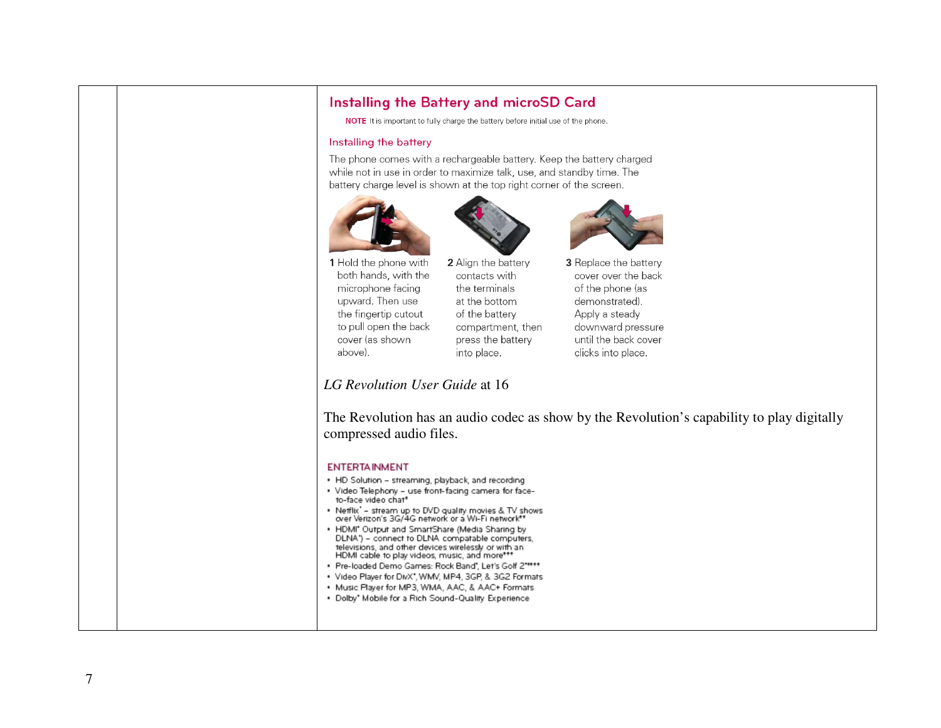#### Installing the Battery and microSD Card

NOTE It is important to fully charge the battery before initial use of the phone.

#### Installing the battery

The phone comes with a rechargeable battery. Keep the battery charged while not in use in order to maximize talk, use, and standby time. The battery charge level is shown at the top right corner of the screen.







1 Hold the phone with both hands, with the microphone facing upward. Then use the fingertip cutout to pull open the back cover (as shown above).

2 Align the battery contacts with the terminals at the bottom of the battery compartment, then press the battery into place.

3 Replace the battery cover over the back of the phone (as demonstrated). Apply a steady downward pressure until the back cover clicks into place.

*LG Revolution User Guide* at 16

The Revolution has an audio codec as show by the Revolution's capability to play digitally compressed audio files.

#### **ENTERTAINMENT**

- . HD Solution streaming, playback, and recording
- . Video Telephony use front-facing camera for faceto-face video chat\*
- Netflix" stream up to DVD quality movies & TV shows<br>over Verizon's 3G/4G network or a Wi-Fi network\*\*
- . HDMI\* Output and SmartShare (Media Sharing by DLNA') - connect to DLNA compatable computers, televisions, and other devices wirelessly or with an HDMI cable to play videos, music, and more\*\*\*
- . Pre-loaded Demo Games: Rock Band", Let's Golf 2\*\*\*\*\*
- . Video Player for DMX\*, WMV, MP4, 3GP, & 3G2 Formats
- . Music Player for MP3, WMA, AAC, & AAC+ Formats
- . Dolby" Mobile for a Rich Sound-Quality Experience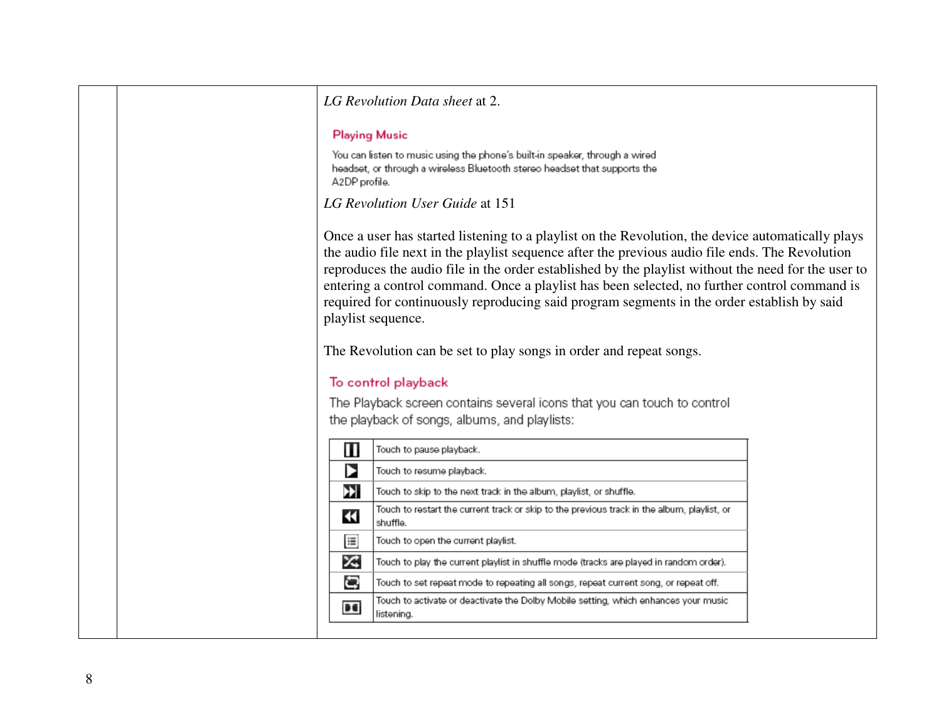|                | LG Revolution Data sheet at 2.                                                                                                                                                                                                                                                                                                                                                                                                                                                                                                  |  |
|----------------|---------------------------------------------------------------------------------------------------------------------------------------------------------------------------------------------------------------------------------------------------------------------------------------------------------------------------------------------------------------------------------------------------------------------------------------------------------------------------------------------------------------------------------|--|
| A2DP profile.  | <b>Playing Music</b><br>You can listen to music using the phone's built-in speaker, through a wired<br>headset, or through a wireless Bluetooth stereo headset that supports the                                                                                                                                                                                                                                                                                                                                                |  |
|                | LG Revolution User Guide at 151                                                                                                                                                                                                                                                                                                                                                                                                                                                                                                 |  |
|                | Once a user has started listening to a playlist on the Revolution, the device automatically plays<br>the audio file next in the playlist sequence after the previous audio file ends. The Revolution<br>reproduces the audio file in the order established by the playlist without the need for the user to<br>entering a control command. Once a playlist has been selected, no further control command is<br>required for continuously reproducing said program segments in the order establish by said<br>playlist sequence. |  |
|                | The Revolution can be set to play songs in order and repeat songs.                                                                                                                                                                                                                                                                                                                                                                                                                                                              |  |
|                | To control playback                                                                                                                                                                                                                                                                                                                                                                                                                                                                                                             |  |
|                | The Playback screen contains several icons that you can touch to control<br>the playback of songs, albums, and playlists:                                                                                                                                                                                                                                                                                                                                                                                                       |  |
| Ш              | Touch to pause playback.                                                                                                                                                                                                                                                                                                                                                                                                                                                                                                        |  |
| Þ              | Touch to resume playback.                                                                                                                                                                                                                                                                                                                                                                                                                                                                                                       |  |
| Y)             | Touch to skip to the next track in the album, playlist, or shuffle.                                                                                                                                                                                                                                                                                                                                                                                                                                                             |  |
| 33             | Touch to restart the current track or skip to the previous track in the album, playlist, or<br>shuffle.                                                                                                                                                                                                                                                                                                                                                                                                                         |  |
| E              | Touch to open the current playlist.                                                                                                                                                                                                                                                                                                                                                                                                                                                                                             |  |
| X              | Touch to play the current playlist in shuffle mode (tracks are played in random order).                                                                                                                                                                                                                                                                                                                                                                                                                                         |  |
| G              | Touch to set repeat mode to repeating all songs, repeat current song, or repeat off.                                                                                                                                                                                                                                                                                                                                                                                                                                            |  |
| B <sub>0</sub> | Touch to activate or deactivate the Dolby Mobile setting, which enhances your music<br>listening.                                                                                                                                                                                                                                                                                                                                                                                                                               |  |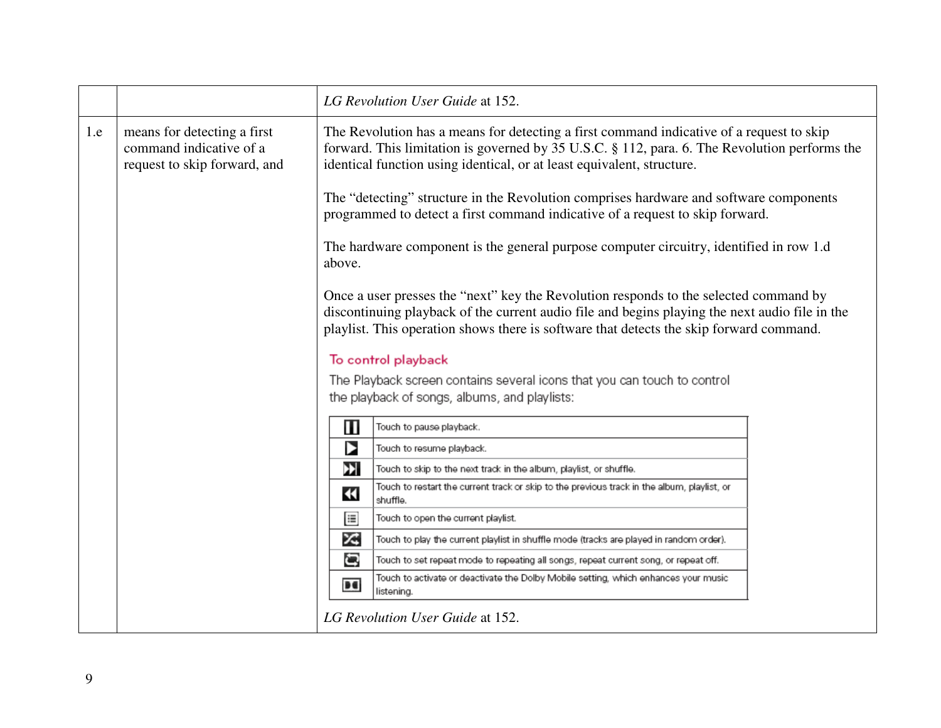|      |                                                                                        | LG Revolution User Guide at 152.                                                                                                                                                                                                                                                   |
|------|----------------------------------------------------------------------------------------|------------------------------------------------------------------------------------------------------------------------------------------------------------------------------------------------------------------------------------------------------------------------------------|
| 1.e. | means for detecting a first<br>command indicative of a<br>request to skip forward, and | The Revolution has a means for detecting a first command indicative of a request to skip<br>forward. This limitation is governed by 35 U.S.C. § 112, para. 6. The Revolution performs the<br>identical function using identical, or at least equivalent, structure.                |
|      |                                                                                        | The "detecting" structure in the Revolution comprises hardware and software components<br>programmed to detect a first command indicative of a request to skip forward.                                                                                                            |
|      |                                                                                        | The hardware component is the general purpose computer circuitry, identified in row 1.d<br>above.                                                                                                                                                                                  |
|      |                                                                                        | Once a user presses the "next" key the Revolution responds to the selected command by<br>discontinuing playback of the current audio file and begins playing the next audio file in the<br>playlist. This operation shows there is software that detects the skip forward command. |
|      |                                                                                        | To control playback                                                                                                                                                                                                                                                                |
|      |                                                                                        | The Playback screen contains several icons that you can touch to control<br>the playback of songs, albums, and playlists:                                                                                                                                                          |
|      |                                                                                        | Ш<br>Touch to pause playback.                                                                                                                                                                                                                                                      |
|      |                                                                                        | Þ<br>Touch to resume playback.                                                                                                                                                                                                                                                     |
|      |                                                                                        | X.<br>Touch to skip to the next track in the album, playlist, or shuffle.                                                                                                                                                                                                          |
|      |                                                                                        | Touch to restart the current track or skip to the previous track in the album, playlist, or<br>$\blacktriangleleft$<br>shuffle.                                                                                                                                                    |
|      |                                                                                        | E<br>Touch to open the current playlist.                                                                                                                                                                                                                                           |
|      |                                                                                        | X<br>Touch to play the current playlist in shuffle mode (tracks are played in random order).                                                                                                                                                                                       |
|      |                                                                                        | G<br>Touch to set repeat mode to repeating all songs, repeat current song, or repeat off.                                                                                                                                                                                          |
|      |                                                                                        | Touch to activate or deactivate the Dolby Mobile setting, which enhances your music<br>B G<br>listening.                                                                                                                                                                           |
|      |                                                                                        | LG Revolution User Guide at 152.                                                                                                                                                                                                                                                   |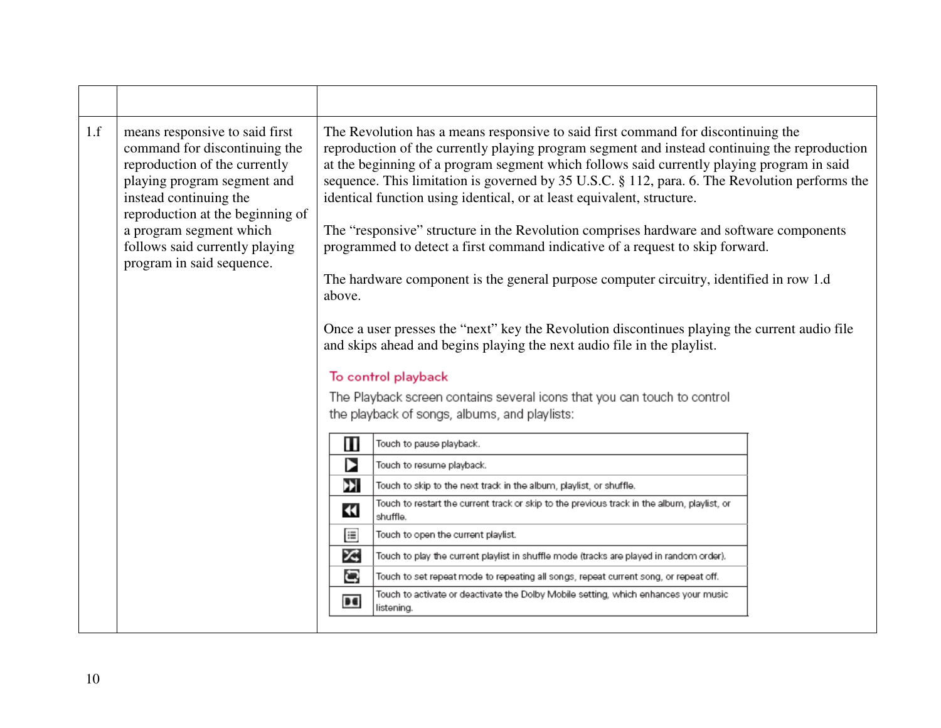| 1.f | means responsive to said first<br>command for discontinuing the<br>reproduction of the currently<br>playing program segment and<br>instead continuing the<br>reproduction at the beginning of<br>a program segment which<br>follows said currently playing<br>program in said sequence. | The Revolution has a means responsive to said first command for discontinuing the<br>reproduction of the currently playing program segment and instead continuing the reproduction<br>at the beginning of a program segment which follows said currently playing program in said<br>sequence. This limitation is governed by 35 U.S.C. § 112, para. 6. The Revolution performs the<br>identical function using identical, or at least equivalent, structure.<br>The "responsive" structure in the Revolution comprises hardware and software components<br>programmed to detect a first command indicative of a request to skip forward.<br>The hardware component is the general purpose computer circuitry, identified in row 1.d<br>above.<br>Once a user presses the "next" key the Revolution discontinues playing the current audio file<br>and skips ahead and begins playing the next audio file in the playlist.<br>To control playback<br>The Playback screen contains several icons that you can touch to control<br>the playback of songs, albums, and playlists: |  |
|-----|-----------------------------------------------------------------------------------------------------------------------------------------------------------------------------------------------------------------------------------------------------------------------------------------|-------------------------------------------------------------------------------------------------------------------------------------------------------------------------------------------------------------------------------------------------------------------------------------------------------------------------------------------------------------------------------------------------------------------------------------------------------------------------------------------------------------------------------------------------------------------------------------------------------------------------------------------------------------------------------------------------------------------------------------------------------------------------------------------------------------------------------------------------------------------------------------------------------------------------------------------------------------------------------------------------------------------------------------------------------------------------------|--|
|     |                                                                                                                                                                                                                                                                                         | Ш<br>Touch to pause playback.                                                                                                                                                                                                                                                                                                                                                                                                                                                                                                                                                                                                                                                                                                                                                                                                                                                                                                                                                                                                                                                 |  |
|     |                                                                                                                                                                                                                                                                                         | Þ<br>Touch to resume playback.                                                                                                                                                                                                                                                                                                                                                                                                                                                                                                                                                                                                                                                                                                                                                                                                                                                                                                                                                                                                                                                |  |
|     |                                                                                                                                                                                                                                                                                         | Y)<br>Touch to skip to the next track in the album, playlist, or shuffle.                                                                                                                                                                                                                                                                                                                                                                                                                                                                                                                                                                                                                                                                                                                                                                                                                                                                                                                                                                                                     |  |
|     |                                                                                                                                                                                                                                                                                         | Touch to restart the current track or skip to the previous track in the album, playlist, or<br>$\blacktriangleleft$<br>shuffle.                                                                                                                                                                                                                                                                                                                                                                                                                                                                                                                                                                                                                                                                                                                                                                                                                                                                                                                                               |  |
|     |                                                                                                                                                                                                                                                                                         | E<br>Touch to open the current playlist.                                                                                                                                                                                                                                                                                                                                                                                                                                                                                                                                                                                                                                                                                                                                                                                                                                                                                                                                                                                                                                      |  |
|     |                                                                                                                                                                                                                                                                                         | ∞<br>Touch to play the current playlist in shuffle mode (tracks are played in random order).                                                                                                                                                                                                                                                                                                                                                                                                                                                                                                                                                                                                                                                                                                                                                                                                                                                                                                                                                                                  |  |
|     |                                                                                                                                                                                                                                                                                         | G<br>Touch to set repeat mode to repeating all songs, repeat current song, or repeat off.                                                                                                                                                                                                                                                                                                                                                                                                                                                                                                                                                                                                                                                                                                                                                                                                                                                                                                                                                                                     |  |
|     |                                                                                                                                                                                                                                                                                         | Touch to activate or deactivate the Dolby Mobile setting, which enhances your music<br>B G<br>listening.                                                                                                                                                                                                                                                                                                                                                                                                                                                                                                                                                                                                                                                                                                                                                                                                                                                                                                                                                                      |  |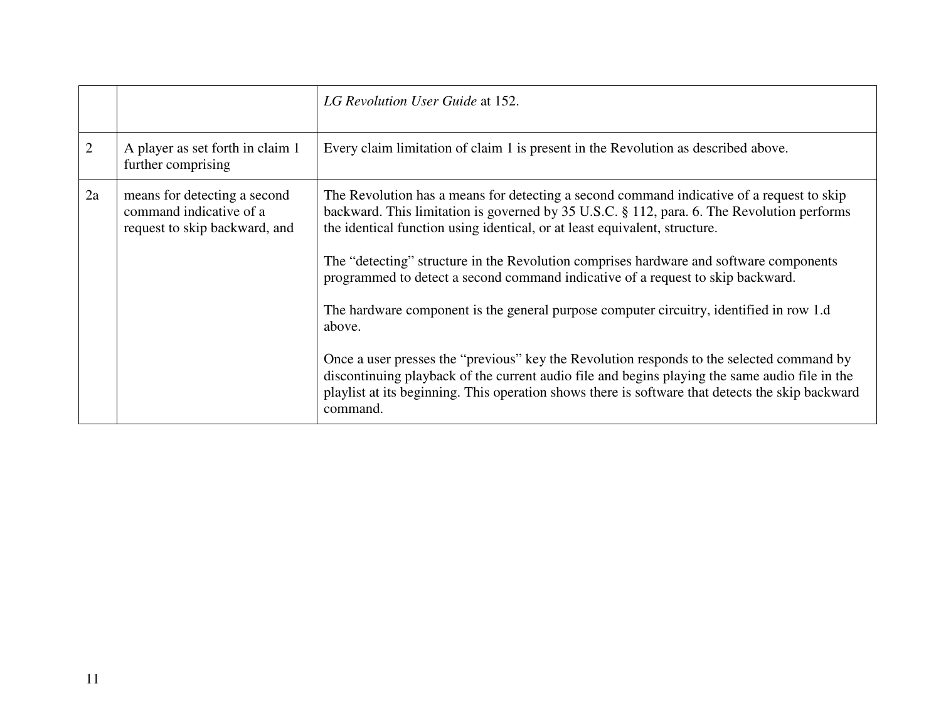|                |                                                                                          | LG Revolution User Guide at 152.                                                                                                                                                                                                                                                                                                                                                                                                                                                                                                                                                                                                                                                                                                                                                                                                                                       |
|----------------|------------------------------------------------------------------------------------------|------------------------------------------------------------------------------------------------------------------------------------------------------------------------------------------------------------------------------------------------------------------------------------------------------------------------------------------------------------------------------------------------------------------------------------------------------------------------------------------------------------------------------------------------------------------------------------------------------------------------------------------------------------------------------------------------------------------------------------------------------------------------------------------------------------------------------------------------------------------------|
| $\overline{2}$ | A player as set forth in claim 1<br>further comprising                                   | Every claim limitation of claim 1 is present in the Revolution as described above.                                                                                                                                                                                                                                                                                                                                                                                                                                                                                                                                                                                                                                                                                                                                                                                     |
| 2a             | means for detecting a second<br>command indicative of a<br>request to skip backward, and | The Revolution has a means for detecting a second command indicative of a request to skip<br>backward. This limitation is governed by 35 U.S.C. § 112, para. 6. The Revolution performs<br>the identical function using identical, or at least equivalent, structure.<br>The "detecting" structure in the Revolution comprises hardware and software components<br>programmed to detect a second command indicative of a request to skip backward.<br>The hardware component is the general purpose computer circuitry, identified in row 1.d<br>above.<br>Once a user presses the "previous" key the Revolution responds to the selected command by<br>discontinuing playback of the current audio file and begins playing the same audio file in the<br>playlist at its beginning. This operation shows there is software that detects the skip backward<br>command. |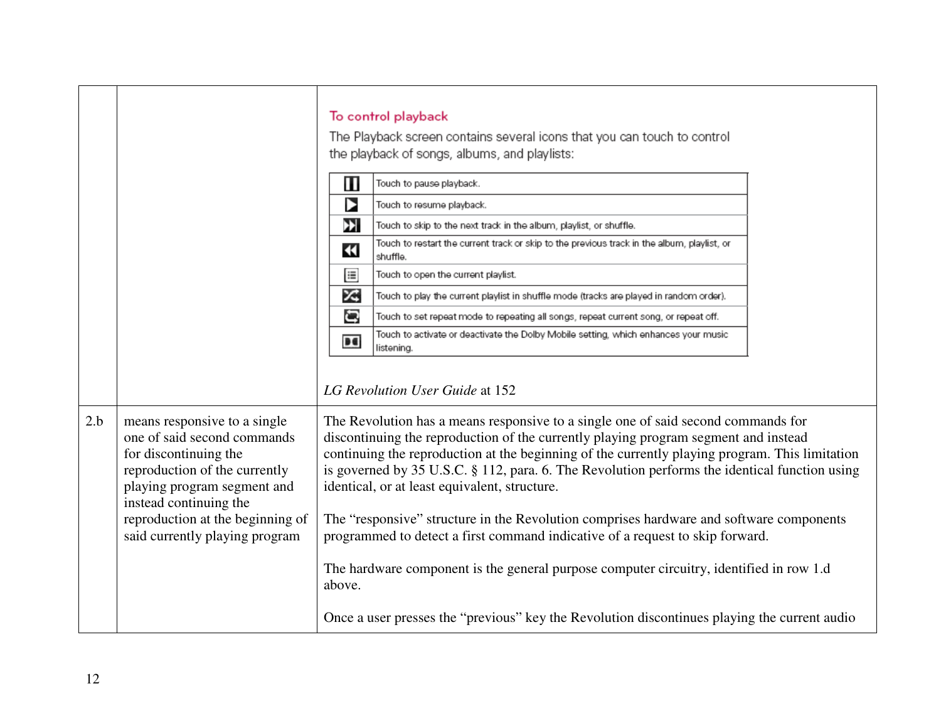|     |                                                                                                                                                                                                                                                      | To control playback<br>The Playback screen contains several icons that you can touch to control<br>the playback of songs, albums, and playlists:<br>Ш<br>Touch to pause playback.<br>Þ<br>Touch to resume playback.<br>Đ<br>Touch to skip to the next track in the album, playlist, or shuffle.<br>Touch to restart the current track or skip to the previous track in the album, playlist, or<br>$\blacktriangleleft$<br>shuffle.<br>E<br>Touch to open the current playlist.<br>X<br>Touch to play the current playlist in shuffle mode (tracks are played in random order).<br>G<br>Touch to set repeat mode to repeating all songs, repeat current song, or repeat off.<br>Touch to activate or deactivate the Dolby Mobile setting, which enhances your music<br>B G<br>listening.                                                          |  |
|-----|------------------------------------------------------------------------------------------------------------------------------------------------------------------------------------------------------------------------------------------------------|--------------------------------------------------------------------------------------------------------------------------------------------------------------------------------------------------------------------------------------------------------------------------------------------------------------------------------------------------------------------------------------------------------------------------------------------------------------------------------------------------------------------------------------------------------------------------------------------------------------------------------------------------------------------------------------------------------------------------------------------------------------------------------------------------------------------------------------------------|--|
| 2.b | means responsive to a single<br>one of said second commands<br>for discontinuing the<br>reproduction of the currently<br>playing program segment and<br>instead continuing the<br>reproduction at the beginning of<br>said currently playing program | LG Revolution User Guide at 152<br>The Revolution has a means responsive to a single one of said second commands for<br>discontinuing the reproduction of the currently playing program segment and instead<br>continuing the reproduction at the beginning of the currently playing program. This limitation<br>is governed by 35 U.S.C. § 112, para. 6. The Revolution performs the identical function using<br>identical, or at least equivalent, structure.<br>The "responsive" structure in the Revolution comprises hardware and software components<br>programmed to detect a first command indicative of a request to skip forward.<br>The hardware component is the general purpose computer circuitry, identified in row 1.d<br>above.<br>Once a user presses the "previous" key the Revolution discontinues playing the current audio |  |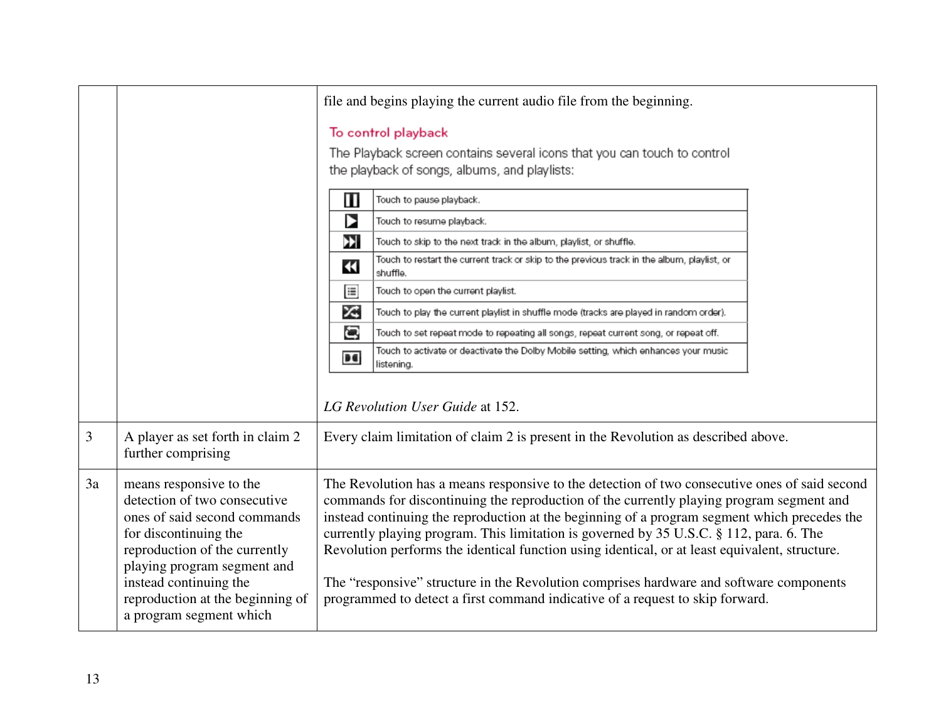|    |                                                                                                                                                                                                                                                                           | file and begins playing the current audio file from the beginning.                                                                                                                                                                                                                                                                                                                                                                                                                                                                                                                                                                                                 |
|----|---------------------------------------------------------------------------------------------------------------------------------------------------------------------------------------------------------------------------------------------------------------------------|--------------------------------------------------------------------------------------------------------------------------------------------------------------------------------------------------------------------------------------------------------------------------------------------------------------------------------------------------------------------------------------------------------------------------------------------------------------------------------------------------------------------------------------------------------------------------------------------------------------------------------------------------------------------|
|    |                                                                                                                                                                                                                                                                           | To control playback<br>The Playback screen contains several icons that you can touch to control<br>the playback of songs, albums, and playlists:                                                                                                                                                                                                                                                                                                                                                                                                                                                                                                                   |
|    |                                                                                                                                                                                                                                                                           | Ш<br>Touch to pause playback.                                                                                                                                                                                                                                                                                                                                                                                                                                                                                                                                                                                                                                      |
|    |                                                                                                                                                                                                                                                                           | Þ<br>Touch to resume playback.                                                                                                                                                                                                                                                                                                                                                                                                                                                                                                                                                                                                                                     |
|    |                                                                                                                                                                                                                                                                           | Ł<br>Touch to skip to the next track in the album, playlist, or shuffle.                                                                                                                                                                                                                                                                                                                                                                                                                                                                                                                                                                                           |
|    |                                                                                                                                                                                                                                                                           | Touch to restart the current track or skip to the previous track in the album, playlist, or<br>3<br>shuffle.                                                                                                                                                                                                                                                                                                                                                                                                                                                                                                                                                       |
|    |                                                                                                                                                                                                                                                                           | E<br>Touch to open the current playlist.                                                                                                                                                                                                                                                                                                                                                                                                                                                                                                                                                                                                                           |
|    |                                                                                                                                                                                                                                                                           | X<br>Touch to play the current playlist in shuffle mode (tracks are played in random order).                                                                                                                                                                                                                                                                                                                                                                                                                                                                                                                                                                       |
|    |                                                                                                                                                                                                                                                                           | ٥<br>Touch to set repeat mode to repeating all songs, repeat current song, or repeat off.                                                                                                                                                                                                                                                                                                                                                                                                                                                                                                                                                                          |
|    |                                                                                                                                                                                                                                                                           | Touch to activate or deactivate the Dolby Mobile setting, which enhances your music<br>B G<br>listening.                                                                                                                                                                                                                                                                                                                                                                                                                                                                                                                                                           |
|    |                                                                                                                                                                                                                                                                           | LG Revolution User Guide at 152.                                                                                                                                                                                                                                                                                                                                                                                                                                                                                                                                                                                                                                   |
| 3  | A player as set forth in claim 2<br>further comprising                                                                                                                                                                                                                    | Every claim limitation of claim 2 is present in the Revolution as described above.                                                                                                                                                                                                                                                                                                                                                                                                                                                                                                                                                                                 |
| 3a | means responsive to the<br>detection of two consecutive<br>ones of said second commands<br>for discontinuing the<br>reproduction of the currently<br>playing program segment and<br>instead continuing the<br>reproduction at the beginning of<br>a program segment which | The Revolution has a means responsive to the detection of two consecutive ones of said second<br>commands for discontinuing the reproduction of the currently playing program segment and<br>instead continuing the reproduction at the beginning of a program segment which precedes the<br>currently playing program. This limitation is governed by 35 U.S.C. § 112, para. 6. The<br>Revolution performs the identical function using identical, or at least equivalent, structure.<br>The "responsive" structure in the Revolution comprises hardware and software components<br>programmed to detect a first command indicative of a request to skip forward. |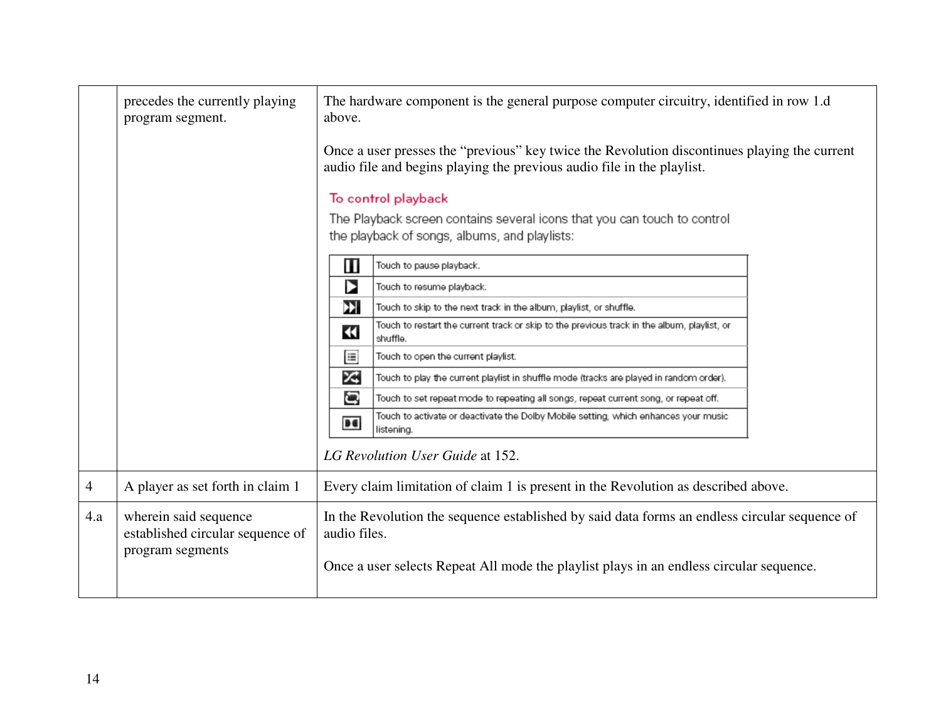|                | precedes the currently playing<br>program segment.                            | The hardware component is the general purpose computer circuitry, identified in row 1.d<br>above.<br>Once a user presses the "previous" key twice the Revolution discontinues playing the current<br>audio file and begins playing the previous audio file in the playlist.<br>To control playback<br>The Playback screen contains several icons that you can touch to control<br>the playback of songs, albums, and playlists:<br>Ш<br>Touch to pause playback.<br>Þ<br>Touch to resume playback.<br>Đ<br>Touch to skip to the next track in the album, playlist, or shuffle.<br>Touch to restart the current track or skip to the previous track in the album, playlist, or<br>$\blacktriangleleft$<br>shuffle.<br>這<br>Touch to open the current playlist.<br>×<br>Touch to play the current playlist in shuffle mode (tracks are played in random order).<br>G<br>Touch to set repeat mode to repeating all songs, repeat current song, or repeat off.<br>Touch to activate or deactivate the Dolby Mobile setting, which enhances your music<br>B <sub>0</sub><br>listening.<br>LG Revolution User Guide at 152. |
|----------------|-------------------------------------------------------------------------------|-----------------------------------------------------------------------------------------------------------------------------------------------------------------------------------------------------------------------------------------------------------------------------------------------------------------------------------------------------------------------------------------------------------------------------------------------------------------------------------------------------------------------------------------------------------------------------------------------------------------------------------------------------------------------------------------------------------------------------------------------------------------------------------------------------------------------------------------------------------------------------------------------------------------------------------------------------------------------------------------------------------------------------------------------------------------------------------------------------------------------|
| $\overline{4}$ | A player as set forth in claim 1                                              | Every claim limitation of claim 1 is present in the Revolution as described above.                                                                                                                                                                                                                                                                                                                                                                                                                                                                                                                                                                                                                                                                                                                                                                                                                                                                                                                                                                                                                                    |
| 4.a            | wherein said sequence<br>established circular sequence of<br>program segments | In the Revolution the sequence established by said data forms an endless circular sequence of<br>audio files.<br>Once a user selects Repeat All mode the playlist plays in an endless circular sequence.                                                                                                                                                                                                                                                                                                                                                                                                                                                                                                                                                                                                                                                                                                                                                                                                                                                                                                              |